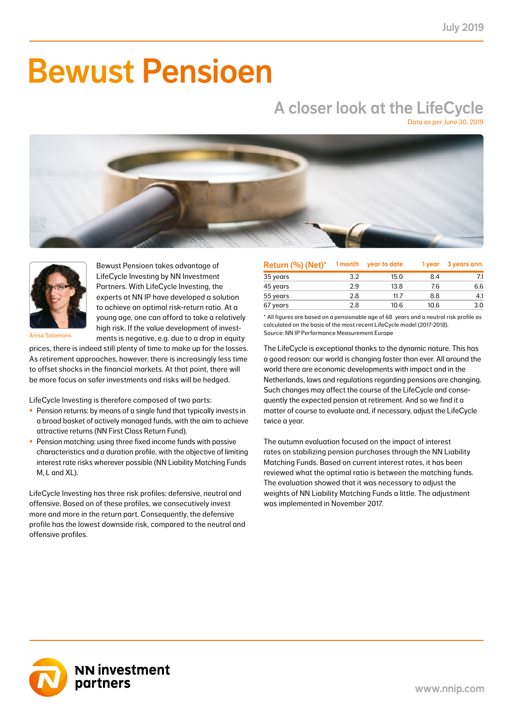# Bewust Pensioen

## A closer look at the LifeCycle

Data as per June 30, 2019





Bewust Pensioen takes advantage of LifeCycle Investing by NN Investment Partners. With LifeCycle Investing, the experts at NN IP have developed a solution to achieve an optimal risk-return ratio. At a young age, one can afford to take a relatively high risk. If the value development of investments is negative, e.g. due to a drop in equity

Anisa Salomons

prices, there is indeed still plenty of time to make up for the losses. As retirement approaches, however, there is increasingly less time to offset shocks in the financial markets. At that point, there will be more focus on safer investments and risks will be hedged.

LifeCycle Investing is therefore composed of two parts:

- Pension returns: by means of a single fund that typically invests in a broad basket of actively managed funds, with the aim to achieve attractive returns (NN First Class Return Fund).
- Pension matching: using three fixed income funds with passive characteristics and a duration profile, with the objective of limiting interest rate risks wherever possible (NN Liability Matching Funds M, L and XL).

LifeCycle Investing has three risk profiles: defensive, neutral and offensive. Based on of these profiles, we consecutively invest more and more in the return part. Consequently, the defensive profile has the lowest downside risk, compared to the neutral and offensive profiles.

| Return (%) (Net)* | 1 month | year to date | 1 year | 3 years ann. |
|-------------------|---------|--------------|--------|--------------|
| 35 years          | 3.2     | 15.0         | 8.4    | 7.1          |
| 45 years          | 2.9     | 13.8         | 7.6    | 6.6          |
| 55 years          | 2.8     | 11.7         | 8.8    | 4.1          |
| 67 years          | 2.8     | 10.6         | 10.6   | 3.0          |

\* All figures are based on a pensionable age of 68 years and a neutral risk profile as calculated on the basis of the most recent LifeCycle model (2017-2018). Source: NN IP Performance Measurement Europe

The LifeCycle is exceptional thanks to the dynamic nature. This has a good reason: our world is changing faster than ever. All around the world there are economic developments with impact and in the Netherlands, laws and regulations regarding pensions are changing. Such changes may affect the course of the LifeCycle and consequently the expected pension at retirement. And so we find it a matter of course to evaluate and, if necessary, adjust the LifeCycle twice a year.

The autumn evaluation focused on the impact of interest rates on stabilizing pension purchases through the NN Liability Matching Funds. Based on current interest rates, it has been reviewed what the optimal ratio is between the matching funds. The evaluation showed that it was necessary to adjust the weights of NN Liability Matching Funds a little. The adjustment was implemented in November 2017.

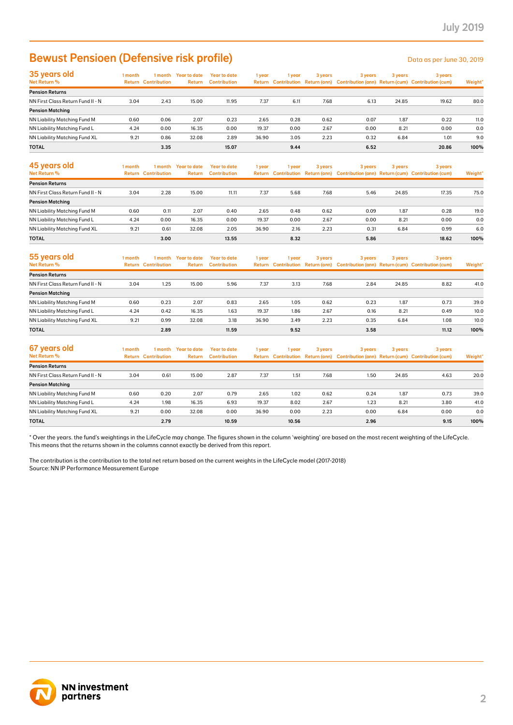### Bewust Pensioen (Defensive risk profile) and the contract of the Data as per June 30, 2019

| 35 years old                      | l month | 1 month                    | Year to date  | Year to date        | 1 year | l year | 3 years | 3 years | 3 years | 3 years                                                                             |         |
|-----------------------------------|---------|----------------------------|---------------|---------------------|--------|--------|---------|---------|---------|-------------------------------------------------------------------------------------|---------|
| Net Return %                      |         | <b>Return Contribution</b> | <b>Return</b> | <b>Contribution</b> |        |        |         |         |         | Return Contribution Return (ann) Contribution (ann) Return (cum) Contribution (cum) | Weight* |
| <b>Pension Returns</b>            |         |                            |               |                     |        |        |         |         |         |                                                                                     |         |
| NN First Class Return Fund II - N | 3.04    | 2.43                       | 15.00         | 11.95               | 7.37   | 6.11   | 7.68    | 6.13    | 24.85   | 19.62                                                                               | 80.0    |
| <b>Pension Matching</b>           |         |                            |               |                     |        |        |         |         |         |                                                                                     |         |
| NN Liability Matching Fund M      | 0.60    | 0.06                       | 2.07          | 0.23                | 2.65   | 0.28   | 0.62    | 0.07    | 1.87    | 0.22                                                                                | 11.0    |
| NN Liability Matching Fund L      | 4.24    | 0.00                       | 16.35         | 0.00                | 19.37  | 0.00   | 2.67    | 0.00    | 8.21    | 0.00                                                                                | 0.0     |
| NN Liability Matching Fund XL     | 9.21    | 0.86                       | 32.08         | 2.89                | 36.90  | 3.05   | 2.23    | 0.32    | 6.84    | 1.01                                                                                | 9.0     |
| <b>TOTAL</b>                      |         | 3.35                       |               | 15.07               |        | 9.44   |         | 6.52    |         | 20.86                                                                               | 100%    |

| 45 years old<br>Net Return %      | 1 month | 1 month<br><b>Return Contribution</b> | Year to date<br>Return | Year to date<br><b>Contribution</b> | 1 year | l vear | 3 years | 3 years | 3 years | 3 years<br>Return Contribution Return (ann) Contribution (ann) Return (cum) Contribution (cum) | Weight* |
|-----------------------------------|---------|---------------------------------------|------------------------|-------------------------------------|--------|--------|---------|---------|---------|------------------------------------------------------------------------------------------------|---------|
| <b>Pension Returns</b>            |         |                                       |                        |                                     |        |        |         |         |         |                                                                                                |         |
| NN First Class Return Fund II - N | 3.04    | 2.28                                  | 15.00                  | 11.11                               | 7.37   | 5.68   | 7.68    | 5.46    | 24.85   | 17.35                                                                                          | 75.0    |
| <b>Pension Matching</b>           |         |                                       |                        |                                     |        |        |         |         |         |                                                                                                |         |
| NN Liability Matching Fund M      | 0.60    | 0.11                                  | 2.07                   | 0.40                                | 2.65   | 0.48   | 0.62    | 0.09    | 1.87    | 0.28                                                                                           | 19.0    |
| NN Liability Matching Fund L      | 4.24    | 0.00                                  | 16.35                  | 0.00                                | 19.37  | 0.00   | 2.67    | 0.00    | 8.21    | 0.00                                                                                           | 0.0     |
| NN Liability Matching Fund XL     | 9.21    | 0.61                                  | 32.08                  | 2.05                                | 36.90  | 2.16   | 2.23    | 0.31    | 6.84    | 0.99                                                                                           | 6.0     |
| <b>TOTAL</b>                      |         | 3.00                                  |                        | 13.55                               |        | 8.32   |         | 5.86    |         | 18.62                                                                                          | 100%    |

| 55 years old<br>Net Return %      | l month | 1 month<br><b>Return Contribution</b> | Year to date<br><b>Return</b> | Year to date<br><b>Contribution</b> | 1 year | l vear | 3 years | 3 years | 3 years | 3 years<br>Return Contribution Return (ann) Contribution (ann) Return (cum) Contribution (cum) | Weight* |
|-----------------------------------|---------|---------------------------------------|-------------------------------|-------------------------------------|--------|--------|---------|---------|---------|------------------------------------------------------------------------------------------------|---------|
| <b>Pension Returns</b>            |         |                                       |                               |                                     |        |        |         |         |         |                                                                                                |         |
| NN First Class Return Fund II - N | 3.04    | 1.25                                  | 15.00                         | 5.96                                | 7.37   | 3.13   | 7.68    | 2.84    | 24.85   | 8.82                                                                                           | 41.0    |
| <b>Pension Matching</b>           |         |                                       |                               |                                     |        |        |         |         |         |                                                                                                |         |
| NN Liability Matching Fund M      | 0.60    | 0.23                                  | 2.07                          | 0.83                                | 2.65   | 1.05   | 0.62    | 0.23    | 1.87    | 0.73                                                                                           | 39.0    |
| NN Liability Matching Fund L      | 4.24    | 0.42                                  | 16.35                         | 1.63                                | 19.37  | 1.86   | 2.67    | 0.16    | 8.21    | 0.49                                                                                           | 10.0    |
| NN Liability Matching Fund XL     | 9.21    | 0.99                                  | 32.08                         | 3.18                                | 36.90  | 3.49   | 2.23    | 0.35    | 6.84    | 1.08                                                                                           | 10.0    |
| <b>TOTAL</b>                      |         | 2.89                                  |                               | 11.59                               |        | 9.52   |         | 3.58    |         | 11.12                                                                                          | 100%    |

| 67 years old<br>Net Return %      | I month | 1 month<br><b>Return Contribution</b> | <b>Year to date</b><br>Return | Year to date<br>Contribution | 1 year | 1 year | 3 years | 3 years | 3 years | 3 years<br>Return Contribution Return (ann) Contribution (ann) Return (cum) Contribution (cum) | Weight* |
|-----------------------------------|---------|---------------------------------------|-------------------------------|------------------------------|--------|--------|---------|---------|---------|------------------------------------------------------------------------------------------------|---------|
| <b>Pension Returns</b>            |         |                                       |                               |                              |        |        |         |         |         |                                                                                                |         |
| NN First Class Return Fund II - N | 3.04    | 0.61                                  | 15.00                         | 2.87                         | 7.37   | 1.51   | 7.68    | 1.50    | 24.85   | 4.63                                                                                           | 20.0    |
| <b>Pension Matching</b>           |         |                                       |                               |                              |        |        |         |         |         |                                                                                                |         |
| NN Liability Matching Fund M      | 0.60    | 0.20                                  | 2.07                          | 0.79                         | 2.65   | 1.02   | 0.62    | 0.24    | 1.87    | 0.73                                                                                           | 39.0    |
| NN Liability Matching Fund L      | 4.24    | 1.98                                  | 16.35                         | 6.93                         | 19.37  | 8.02   | 2.67    | 1.23    | 8.21    | 3.80                                                                                           | 41.0    |
| NN Liability Matching Fund XL     | 9.21    | 0.00                                  | 32.08                         | 0.00                         | 36.90  | 0.00   | 2.23    | 0.00    | 6.84    | 0.00                                                                                           | 0.0     |
| <b>TOTAL</b>                      |         | 2.79                                  |                               | 10.59                        |        | 10.56  |         | 2.96    |         | 9.15                                                                                           | 100%    |

\* Over the years. the fund's weightings in the LifeCycle may change. The figures shown in the column 'weighting' are based on the most recent weighting of the LifeCycle. This means that the returns shown in the columns cannot exactly be derived from this report.

The contribution is the contribution to the total net return based on the current weights in the LifeCycle model (2017-2018) Source: NN IP Performance Measurement Europe

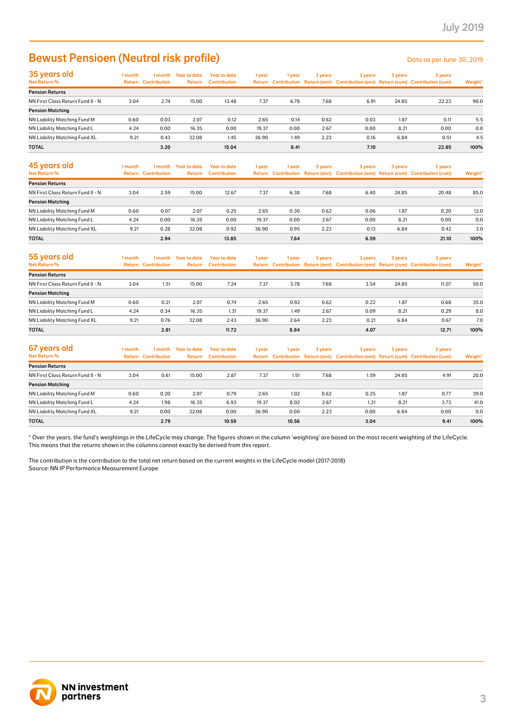### Bewust Pensioen (Neutral risk profile) Data as per June 30, 2019

| 35 years old                         | l month | 1 month                    | Year to date | <b>Year to date</b> | 1 year | l year | 3 years | 3 years | 3 years | 3 years                                                                             |         |
|--------------------------------------|---------|----------------------------|--------------|---------------------|--------|--------|---------|---------|---------|-------------------------------------------------------------------------------------|---------|
| Net Return %                         |         | <b>Return Contribution</b> | Return       | <b>Contribution</b> |        |        |         |         |         | Return Contribution Return (ann) Contribution (ann) Return (cum) Contribution (cum) | Weight* |
| <b>Pension Returns</b>               |         |                            |              |                     |        |        |         |         |         |                                                                                     |         |
| NN First Class Return Fund II - N    | 3.04    | 2.74                       | 15.00        | 13.48               | 7.37   | 6.78   | 7.68    | 6.91    | 24.85   | 22.23                                                                               | 90.0    |
| <b>Pension Matching</b>              |         |                            |              |                     |        |        |         |         |         |                                                                                     |         |
| NN Liability Matching Fund M         | 0.60    | 0.03                       | 2.07         | 0.12                | 2.65   | 0.14   | 0.62    | 0.03    | 1.87    | 0.11                                                                                | 5.5     |
| NN Liability Matching Fund L         | 4.24    | 0.00                       | 16.35        | 0.00                | 19.37  | 0.00   | 2.67    | 0.00    | 8.21    | 0.00                                                                                | 0.0     |
| <b>NN Liability Matching Fund XL</b> | 9.21    | 0.43                       | 32.08        | 1.45                | 36.90  | 1.49   | 2.23    | 0.16    | 6.84    | 0.51                                                                                | 4.5     |
| <b>TOTAL</b>                         |         | 3.20                       |              | 15.04               |        | 8.41   |         | 7.10    |         | 22.85                                                                               | 100%    |

| 45 years old<br>Net Return %      | I month | 1 month<br><b>Return Contribution</b> | Year to date<br>Return | Year to date<br><b>Contribution</b> | 1 year | l vear | 3 years | 3 years | 3 years | 3 years<br>Return Contribution Return (ann) Contribution (ann) Return (cum) Contribution (cum) | Weight* |
|-----------------------------------|---------|---------------------------------------|------------------------|-------------------------------------|--------|--------|---------|---------|---------|------------------------------------------------------------------------------------------------|---------|
| <b>Pension Returns</b>            |         |                                       |                        |                                     |        |        |         |         |         |                                                                                                |         |
| NN First Class Return Fund II - N | 3.04    | 2.59                                  | 15.00                  | 12.67                               | 7.37   | 6.38   | 7.68    | 6.40    | 24.85   | 20.48                                                                                          | 85.0    |
| <b>Pension Matching</b>           |         |                                       |                        |                                     |        |        |         |         |         |                                                                                                |         |
| NN Liability Matching Fund M      | 0.60    | 0.07                                  | 2.07                   | 0.25                                | 2.65   | 0.30   | 0.62    | 0.06    | 1.87    | 0.20                                                                                           | 12.0    |
| NN Liability Matching Fund L      | 4.24    | 0.00                                  | 16.35                  | 0.00                                | 19.37  | 0.00   | 2.67    | 0.00    | 8.21    | 0.00                                                                                           | 0.0     |
| NN Liability Matching Fund XL     | 9.21    | 0.28                                  | 32.08                  | 0.92                                | 36.90  | 0.95   | 2.23    | 0.13    | 6.84    | 0.42                                                                                           | 3.0     |
| <b>TOTAL</b>                      |         | 2.94                                  |                        | 13.85                               |        | 7.64   |         | 6.59    |         | 21.10                                                                                          | 100%    |

| 55 years old<br>Net Return %      | 1 month<br>Return | 1 month<br><b>Contribution</b> | Year to date<br>Return | Year to date<br><b>Contribution</b> | 1 year | 1 year | 3 years | 3 years | 3 years | 3 years<br>Return Contribution Return (ann) Contribution (ann) Return (cum) Contribution (cum) | Weight* |
|-----------------------------------|-------------------|--------------------------------|------------------------|-------------------------------------|--------|--------|---------|---------|---------|------------------------------------------------------------------------------------------------|---------|
| <b>Pension Returns</b>            |                   |                                |                        |                                     |        |        |         |         |         |                                                                                                |         |
| NN First Class Return Fund II - N | 3.04              | 1.51                           | 15.00                  | 7.24                                | 7.37   | 3.78   | 7.68    | 3.54    | 24.85   | 11.07                                                                                          | 50.0    |
| <b>Pension Matching</b>           |                   |                                |                        |                                     |        |        |         |         |         |                                                                                                |         |
| NN Liability Matching Fund M      | 0.60              | 0.21                           | 2.07                   | 0.74                                | 2.65   | 0.92   | 0.62    | 0.22    | 1.87    | 0.68                                                                                           | 35.0    |
| NN Liability Matching Fund L      | 4.24              | 0.34                           | 16.35                  | 1.31                                | 19.37  | 1.49   | 2.67    | 0.09    | 8.21    | 0.29                                                                                           | 8.0     |
| NN Liability Matching Fund XL     | 9.21              | 0.76                           | 32.08                  | 2.43                                | 36.90  | 2.64   | 2.23    | 0.21    | 6.84    | 0.67                                                                                           | 7.0     |
| <b>TOTAL</b>                      |                   | 2.81                           |                        | 11.72                               |        | 8.84   |         | 4.07    |         | 12.71                                                                                          | 100%    |

| 67 years old<br>Net Return %      | I month | 1 month<br><b>Return Contribution</b> | Year to date<br>Return | Year to date<br><b>Contribution</b> | 1 year | 1 year | 3 years | 3 years | 3 years | 3 years<br>Return Contribution Return (ann) Contribution (ann) Return (cum) Contribution (cum) | Weight* |
|-----------------------------------|---------|---------------------------------------|------------------------|-------------------------------------|--------|--------|---------|---------|---------|------------------------------------------------------------------------------------------------|---------|
| <b>Pension Returns</b>            |         |                                       |                        |                                     |        |        |         |         |         |                                                                                                |         |
| NN First Class Return Fund II - N | 3.04    | 0.61                                  | 15.00                  | 2.87                                | 7.37   | 1.51   | 7.68    | 1.59    | 24.85   | 4.91                                                                                           | 20.0    |
| <b>Pension Matching</b>           |         |                                       |                        |                                     |        |        |         |         |         |                                                                                                |         |
| NN Liability Matching Fund M      | 0.60    | 0.20                                  | 2.07                   | 0.79                                | 2.65   | 1.02   | 0.62    | 0.25    | 1.87    | 0.77                                                                                           | 39.0    |
| NN Liability Matching Fund L      | 4.24    | 1.98                                  | 16.35                  | 6.93                                | 19.37  | 8.02   | 2.67    | 1.21    | 8.21    | 3.73                                                                                           | 41.0    |
| NN Liability Matching Fund XL     | 9.21    | 0.00                                  | 32.08                  | 0.00                                | 36.90  | 0.00   | 2.23    | 0.00    | 6.84    | 0.00                                                                                           | 0.0     |
| <b>TOTAL</b>                      |         | 2.79                                  |                        | 10.59                               |        | 10.56  |         | 3.04    |         | 9.41                                                                                           | 100%    |

\* Over the years. the fund's weightings in the LifeCycle may change. The figures shown in the column 'weighting' are based on the most recent weighting of the LifeCycle. This means that the returns shown in the columns cannot exactly be derived from this report.

The contribution is the contribution to the total net return based on the current weights in the LifeCycle model (2017-2018) Source: NN IP Performance Measurement Europe